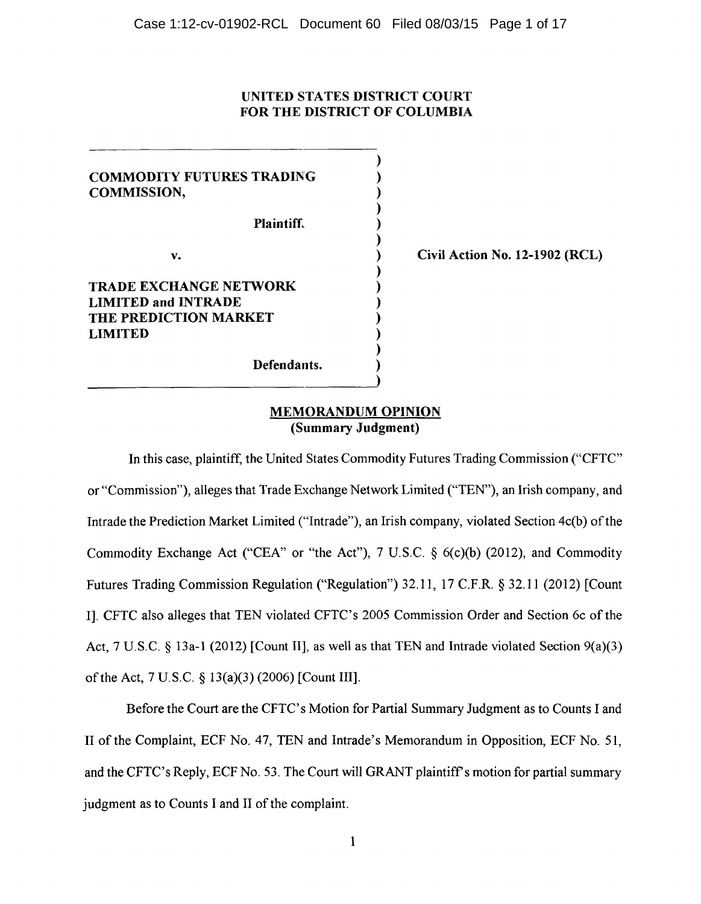## UNITED STA TES DISTRICT COURT FOR THE DISTRICT OF COLUMBIA

) ) ) ) ) ) ) ) ) ) ) ) ) )

COMMODITY FUTURES TRADING COMMISSION,

Plaintiff.

v.

# TRADE EXCHANGE NETWORK LIMITED and INTRADE THE PREDICTION MARKET LIMITED

Defendants.

Civil Action No. 12-1902 (RCL)

## MEMORANDUM OPINION (Summary Judgment)

In this case, plaintiff, the United States Commodity Futures Trading Commission ("CFTC" or "Commission"), alleges that Trade Exchange Network Limited ("TEN'), an Irish company, and Intrade the Prediction Market Limited ("Intrade"), an Irish company, violated Section 4c(b) of the Commodity Exchange Act ("CEA" or "the Act"), 7 U.S.C.  $\delta$  6(c)(b) (2012), and Commodity Futures Trading Commission Regulation ("Regulation") 32.11, 17 C.F.R. § 32.11 (2012) [Count I]. CFTC also alleges that TEN violated CFTC's 2005 Commission Order and Section 6c of the Act, 7 U.S.C. § 13a-1 (2012) [Count II], as well as that TEN and Intrade violated Section 9(a)(3) of the Act, 7 U.S.C. § 13(a)(3) (2006) [Count III].

Before the Court are the CFTC's Motion for Partial Summary Judgment as to Counts I and II of the Complaint, ECF No. 47, TEN and Intrade's Memorandum in Opposition, ECF No. 51, and the CFTC's Reply, ECF No. 53. The Court will GRANT plaintiff's motion for partial summary judgment as to Counts I and II of the complaint.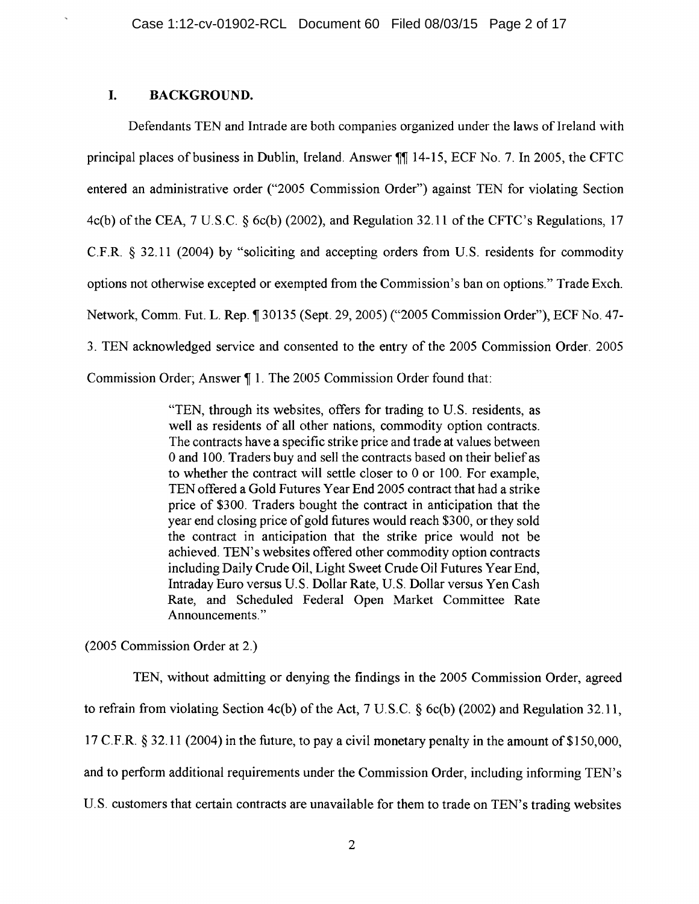# I. BACKGROUND.

Defendants TEN and Intrade are both companies organized under the laws of Ireland with principal places of business in Dublin, Ireland. Answer  $\mathbb{II}$  14-15, ECF No. 7. In 2005, the CFTC entered an administrative order ("2005 Commission Order") against TEN for violating Section 4c(b) of the CEA, 7 U.S.C. § 6c(b) (2002), and Regulation 32.11 of the CFTC's Regulations, 17 C.F.R. § 32.11 (2004) by "soliciting and accepting orders from U.S. residents for commodity options not otherwise excepted or exempted from the Commission's ban on options." Trade Exch. Network, Comm. Fut. L. Rep. ¶ 30135 (Sept. 29, 2005) ("2005 Commission Order"), ECF No. 47-3. TEN acknowledged service and consented to the entry of the 2005 Commission Order. 2005 Commission Order; Answer 1. The 2005 Commission Order found that:

> "TEN, through its websites, offers for trading to U.S. residents, as well as residents of all other nations, commodity option contracts. The contracts have a specific strike price and trade at values between 0 and 100. Traders buy and sell the contracts based on their belief as to whether the contract will settle closer to 0 or 100. For example, TEN offered a Gold Futures Year End 2005 contract that had a strike price of \$300. Traders bought the contract in anticipation that the year end closing price of gold futures would reach \$300, or they sold the contract in anticipation that the strike price would not be achieved. TEN' s websites offered other commodity option contracts including Daily Crude Oil, Light Sweet Crude Oil Futures Year End, Intraday Euro versus U.S. Dollar Rate, U.S. Dollar versus Yen Cash Rate, and Scheduled Federal Open Market Committee Rate Announcements."

(2005 Commission Order at 2.)

TEN, without admitting or denying the findings in the 2005 Commission Order, agreed to refrain from violating Section 4c(b) of the Act, 7 U.S.C. § 6c(b) (2002) and Regulation 32.11, 17 C.F.R. § 32.11 (2004) in the future, to pay a civil monetary penalty in the amount of \$150,000, and to perform additional requirements under the Commission Order, including informing TEN' s U.S. customers that certain contracts are unavailable for them to trade on TEN's trading websites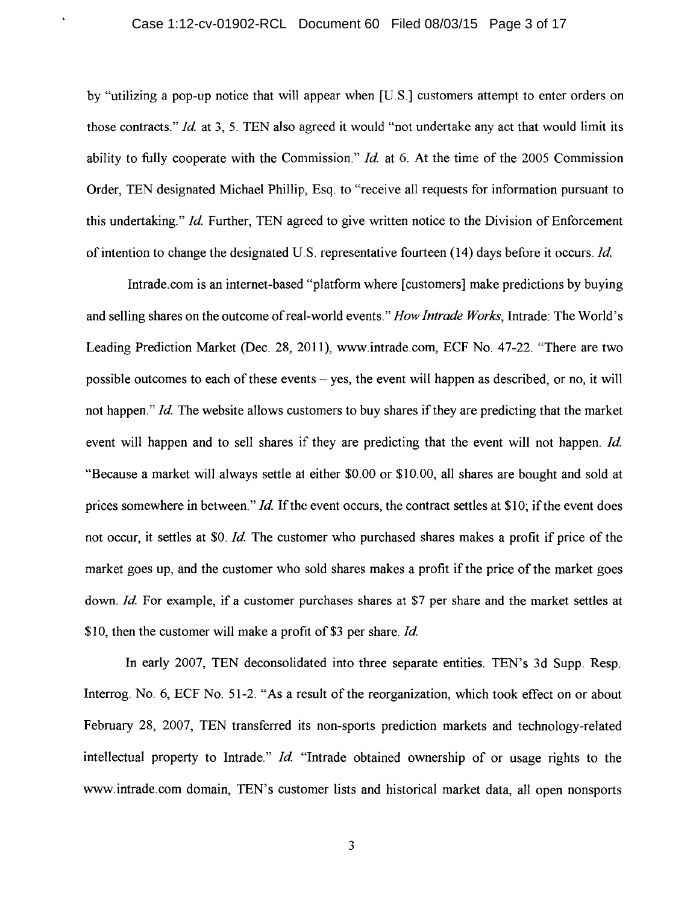### Case 1:12-cv-01902-RCL Document 60 Filed 08/03/15 Page 3 of 17

by "utilizing a pop-up notice that will appear when [US.] customers attempt to enter orders on those contracts." *Id* at 3, 5. TEN also agreed it would "not undertake any act that would limit its ability to fully cooperate with the Commission." *Id* at 6. At the time of the 2005 Commission Order, TEN designated Michael Phillip, Esq. to "receive all requests for information pursuant to this undertaking." *Id.* Further, TEN agreed to give written notice to the Division of Enforcement of intention to change the designated US. representative fourteen (14) days before it occurs. *Id* 

Intrade.com is an internet-based "platform where [customers] make predictions by buying and selling shares on the outcome of real-world events." *How Intrade Works,* Intrade: The World's Leading Prediction Market (Dec. 28, 2011), www.intrade.com, ECF No. 47-22. "There are two possible outcomes to each of these events - yes, the event will happen as described, or no, it will not happen." *Id.* The website allows customers to buy shares if they are predicting that the market event will happen and to sell shares if they are predicting that the event will not happen. *Id*. "Because a market will always settle at either \$0.00 or \$10.00, all shares are bought and sold at prices somewhere in between." *Id.* If the event occurs, the contract settles at \$10; if the event does not occur, it settles at \$0. *Id*. The customer who purchased shares makes a profit if price of the market goes up, and the customer who sold shares makes a profit if the price of the market goes down. *Id* For example, if a customer purchases shares at \$7 per share and the market settles at \$10, then the customer will make a profit of \$3 per share. *Id* 

In early 2007, TEN deconsolidated into three separate entities. TEN's 3d Supp. Resp. Interrog. No. 6, ECF No. 51-2. "As a result of the reorganization, which took effect on or about February 28, 2007, TEN transferred its non-sports prediction markets and technology-related intellectual property to Intrade." *Id* "Intrade obtained ownership of or usage rights to the www.intrade.com domain, TEN's customer lists and historical market data, all open nonsports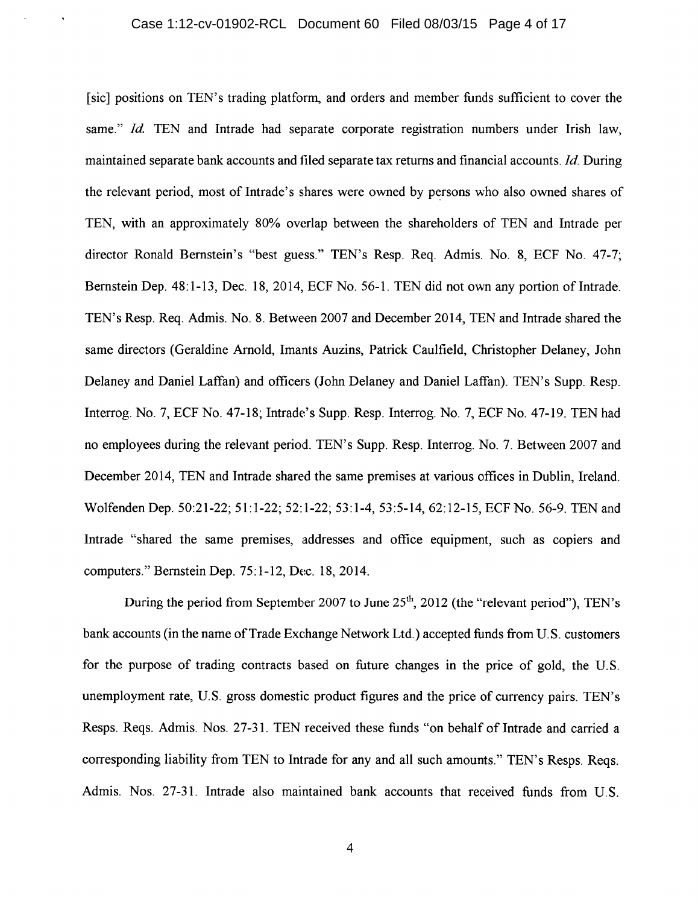[sic] positions on TEN's trading platform, and orders and member funds sufficient to cover the same." *Id.* TEN and Intrade had separate corporate registration numbers under Irish law, maintained separate bank accounts and filed separate tax returns and financial accounts. *Id.* During the relevant period, most of Intrade's shares were owned by persons who also owned shares of TEN, with an approximately 80% overlap between the shareholders of TEN and lntrade per director Ronald Bernstein's "best guess." TEN's Resp. Req. Admis. No. 8, ECF No. 47-7; Bernstein Dep. 48:1-13, Dec. 18, 2014, ECF No. 56-1. TEN did not own any portion of Intrade. TEN's Resp. Req. Admis. No. 8. Between 2007 and December 2014, TEN and Intrade shared the same directors (Geraldine Arnold, Imants Auzins, Patrick Caulfield, Christopher Delaney, John Delaney and Daniel Laffan) and officers (John Delaney and Daniel Laffan). TEN's Supp. Resp. Interrog. No. 7, ECF No. 47-18; Intrade's Supp. Resp. Interrog. No. 7, ECF No. 47-19. TEN had no employees during the relevant period. TEN's Supp. Resp. Interrog. No. 7. Between 2007 and December 2014, TEN and Intrade shared the same premises at various offices in Dublin, Ireland. Wolfenden Dep. 50:21-22; 51:1-22; 52:1-22; 53:1-4, 53:5-14, 62:12-15, ECF No. 56-9. TEN and Intrade "shared the same premises, addresses and office equipment, such as copiers and computers." Bernstein Dep. 75: 1-12, Dec. 18, 2014.

During the period from September 2007 to June  $25<sup>th</sup>$ , 2012 (the "relevant period"), TEN's bank accounts (in the name of Trade Exchange Network Ltd.) accepted funds from U.S. customers for the purpose of trading contracts based on future changes in the price of gold, the U.S. unemployment rate, U.S. gross domestic product figures and the price of currency pairs. TEN's Resps. Reqs. Admis. Nos. 27-31. TEN received these funds "on behalf of Intrade and carried a corresponding liability from TEN to Intrade for any and all such amounts." TEN's Resps. Reqs. Admis. Nos. 27-31. Intrade also maintained bank accounts that received funds from U.S.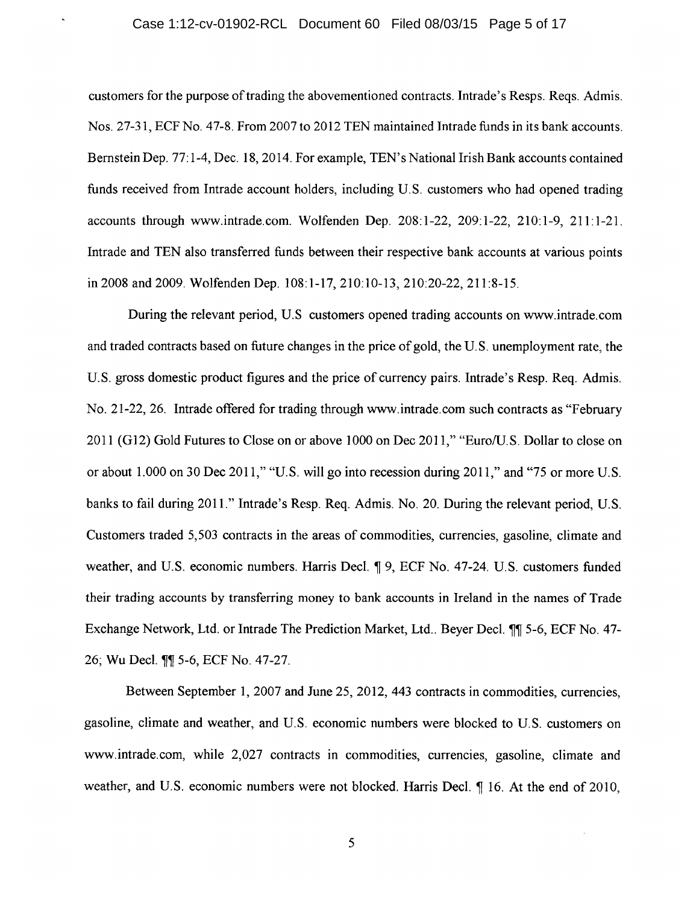#### Case 1:12-cv-01902-RCL Document 60 Filed 08/03/15 Page 5 of 17

 $\hat{\mathbf{a}}$ 

customers for the purpose of trading the abovementioned contracts. Intrade's Resps. Reqs. Admis. Nos. 27-31, ECF No. 47-8. From 2007 to 2012 TEN maintained Intrade funds in its bank accounts. Bernstein Dep. 77:1-4, Dec. 18, 2014. For example, TEN's National Irish Bank accounts contained funds received from Intrade account holders, including U.S. customers who had opened trading accounts through www.intrade.com. Wolfenden Dep. 208:1-22, 209:1-22, 210:1-9, 211:1-21. Intrade and TEN also transferred funds between their respective bank accounts at various points in 2008 and 2009. Wolfenden Dep. 108: 1-17, 210:10-13, 210:20-22, 211:8-15.

During the relevant period, US customers opened trading accounts on www.intrade.com and traded contracts based on future changes in the price of gold, the U.S. unemployment rate, the U.S. gross domestic product figures and the price of currency pairs. Intrade's Resp. Req. Admis. No. 21-22, 26. Intrade offered for trading through www.intrade.com such contracts as "February 2011 (G12) Gold Futures to Close on or above 1000 on Dec 2011," "Euro/U.S. Dollar to close on or about 1.000 on 30 Dec 2011," "U.S. will go into recession during 2011," and "75 or more U.S. banks to fail during 2011." Intrade's Resp. Req. Admis. No. 20. During the relevant period, U.S. Customers traded 5,503 contracts in the areas of commodities, currencies, gasoline, climate and weather, and U.S. economic numbers. Harris Decl.  $\P$  9, ECF No. 47-24. U.S. customers funded their trading accounts by transferring money to bank accounts in Ireland in the names of Trade Exchange Network, Ltd. or Intrade The Prediction Market, Ltd.. Beyer Decl. 11 5-6, ECF No. 47-26; Wu Decl. 11 5-6, ECF No. 47-27.

Between September 1, 2007 and June 25, 2012, 443 contracts in commodities, currencies, gasoline, climate and weather, and U.S. economic numbers were blocked to U.S. customers on www.intrade.com, while 2,027 contracts in commodities, currencies, gasoline, climate and weather, and U.S. economic numbers were not blocked. Harris Decl. ¶ 16. At the end of 2010,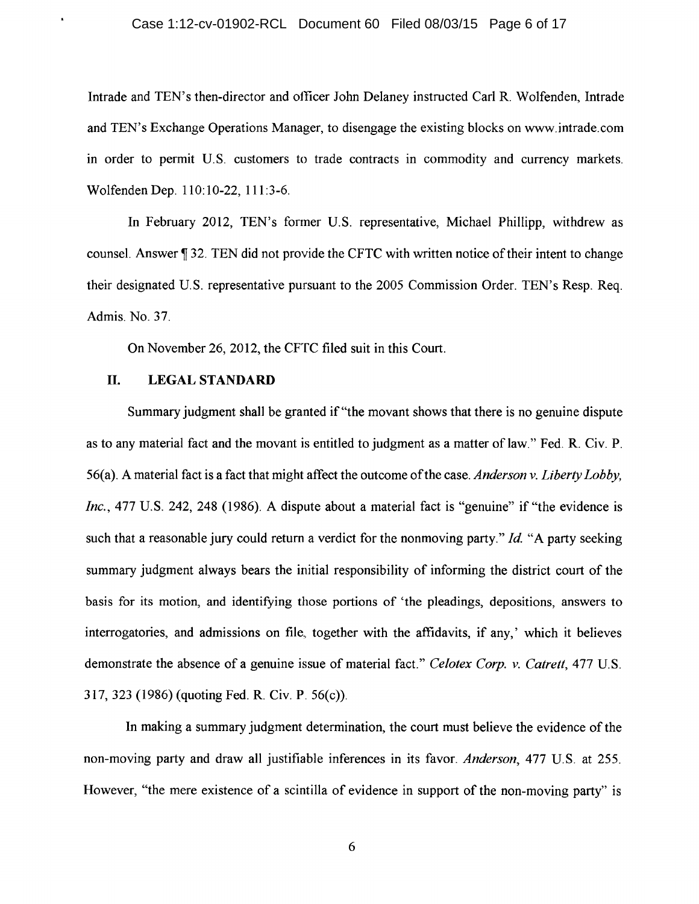#### Case 1:12-cv-01902-RCL Document 60 Filed 08/03/15 Page 6 of 17

Intrade and TEN's then-director and officer John Delaney instructed Carl R. Wolfenden, Intrade and TEN's Exchange Operations Manager, to disengage the existing blocks on www.intrade.com in order to permit U.S. customers to trade contracts in commodity and currency markets. Wolfenden Dep. 110:10-22, 111:3-6.

In February 2012, TEN's former U.S. representative, Michael Phillipp, withdrew as counsel. Answer ¶ 32. TEN did not provide the CFTC with written notice of their intent to change their designated U.S. representative pursuant to the 2005 Commission Order. TEN's Resp. Req. Admis. No. 37.

On November 26, 2012, the CFTC filed suit in this Court.

## **Il. LEGAL STANDARD**

×,

Summary judgment shall be granted if "the movant shows that there is no genuine dispute as to any material fact and the movant is entitled to judgment as a matter of law." Fed. R. Civ. P. 56(a). A material fact is a fact that might affect the outcome of the case. *Anderson v. Liberty Lobby, Inc.*, 477 U.S. 242, 248 (1986). A dispute about a material fact is "genuine" if "the evidence is such that a reasonable jury could return a verdict for the nonmoving party." *Id* "A party seeking summary judgment always bears the initial responsibility of informing the district court of the basis for its motion, and identifying those portions of 'the pleadings, depositions, answers to interrogatories, and admissions on file, together with the affidavits, if any,' which it believes demonstrate the absence of a genuine issue of material fact." *Celotex Corp. v. Catrett,* 477 U.S. 317, 323 (1986) (quoting Fed. R. Civ. P. 56(c)).

In making a summary judgment determination, the court must believe the evidence of the non-moving party and draw all justifiable inferences in its favor. *Anderson,* 477 U.S. at 255. However, "the mere existence of a scintilla of evidence in support of the non-moving party" is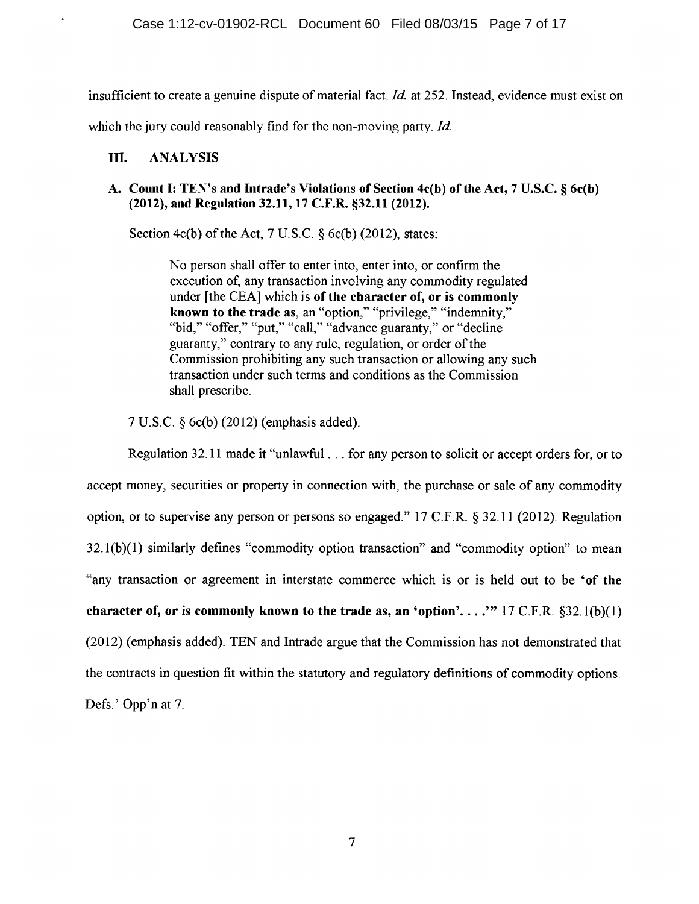insufficient to create a genuine dispute of material fact. *Id* at 252. Instead, evidence must exist on which the jury could reasonably find for the non-moving party. *Id.* 

# III. ANALYSIS

 $\pmb{\eta}$ 

## A. Count I: TEN's and Intrade's Violations of Section 4c(b) of the Act, 7 U.S.C. § 6c(b) (2012), and Regulation 32.11, 17 C.F.R. §32.11 (2012).

Section 4c(b) of the Act, 7 U.S.C.  $\delta$  6c(b) (2012), states:

No person shall offer to enter into, enter into, or confirm the execution of, any transaction involving any commodity regulated under [the CEA] which is of the character of, or is commonly known to the trade as, an "option," "privilege," "indemnity," "bid," "offer," "put," "call," "advance guaranty," or "decline" guaranty,'' contrary to any rule, regulation, or order of the Commission prohibiting any such transaction or allowing any such transaction under such terms and conditions as the Commission shall prescribe.

7 U.S.C. § 6c(b) (2012) (emphasis added).

Regulation 32.11 made it "unlawful ... for any person to solicit or accept orders for, or to accept money, securities or property in connection with, the purchase or sale of any commodity option, or to supervise any person or persons so engaged." 17 C.F.R. § 32.11 (2012). Regulation  $32.1(b)(1)$  similarly defines "commodity option transaction" and "commodity option" to mean "any transaction or agreement in interstate commerce which is or is held out to be 'of the character of, or is commonly known to the trade as, an 'option'...." 17 C.F.R.  $\S 32.1(b)(1)$ (2012) (emphasis added). TEN and Intrade argue that the Commission has not demonstrated that the contracts in question fit within the statutory and regulatory definitions of commodity options. Defs.' Opp'n at 7.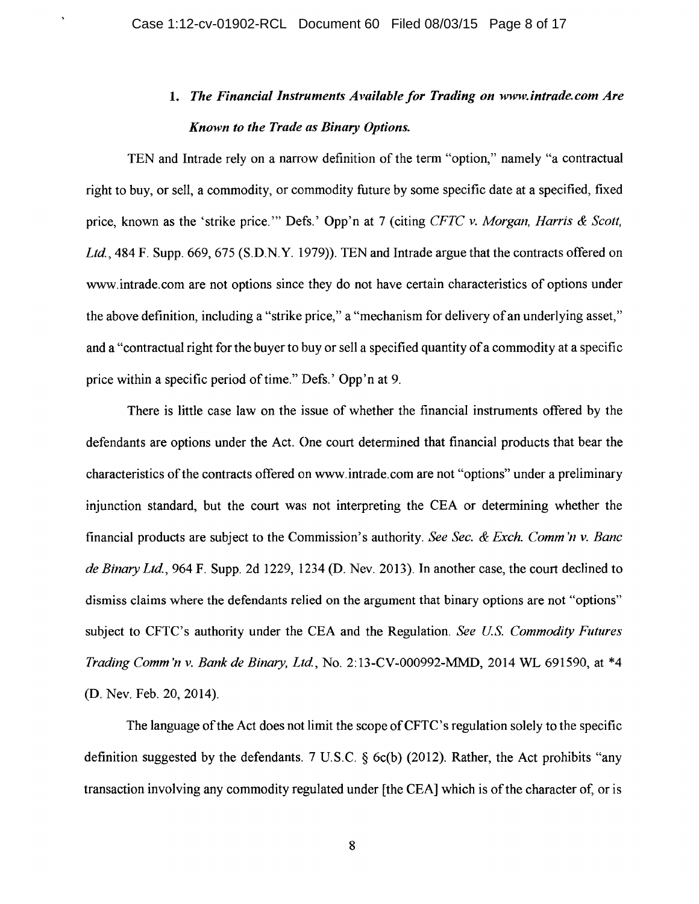$\ddot{\phantom{1}}$ 

# 1. *The Financial Instruments Available for Trading on www.intrade.com Are Known to the Trade as Binary Options.*

TEN and Intrade rely on a narrow definition of the term "option," namely "a contractual right to buy, or sell, a commodity, or commodity future by some specific date at a specified, fixed price, known as the 'strike price.'" Defs.' Opp'n at 7 (citing *CFTC v. Morgan, Harris & Scott,* Ltd., 484 F. Supp. 669, 675 (S.D.N.Y. 1979)). TEN and Intrade argue that the contracts offered on www.intrade.com are not options since they do not have certain characteristics of options under the above definition, including a "strike price," a "mechanism for delivery of an underlying asset," and a "contractual right for the buyer to buy or sell a specified quantity of a commodity at a specific price within a specific period of time." Defs.' Opp'n at 9.

There is little case law on the issue of whether the financial instruments offered by the defendants are options under the Act. One court determined that financial products that bear the characteristics of the contracts offered on www.intrade.com are not "options" under a preliminary injunction standard, but the court was not interpreting the CEA or determining whether the financial products are subject to the Commission's authority. *See Sec. & Exch. Comm 'n v. Banc de Binary Ltd.,* 964 F. Supp. 2d 1229, 1234 (D. Nev. 2013). In another case, the court declined to dismiss claims where the defendants relied on the argument that binary options are not "options" subject to CFTC's authority under the CEA and the Regulation. *See US. Commodity Futures Trading Comm 'n v. Bank de Binary, Ltd,* No. 2: 13-CV-000992-MMD, 2014 WL 691590, at \*4 (D. Nev. Feb. 20, 2014).

The language of the Act does not limit the scope of CFTC's regulation solely to the specific definition suggested by the defendants. 7 U.S.C. § 6c(b) (2012). Rather, the Act prohibits "any transaction involving any commodity regulated under [the CEA] which is of the character of, or is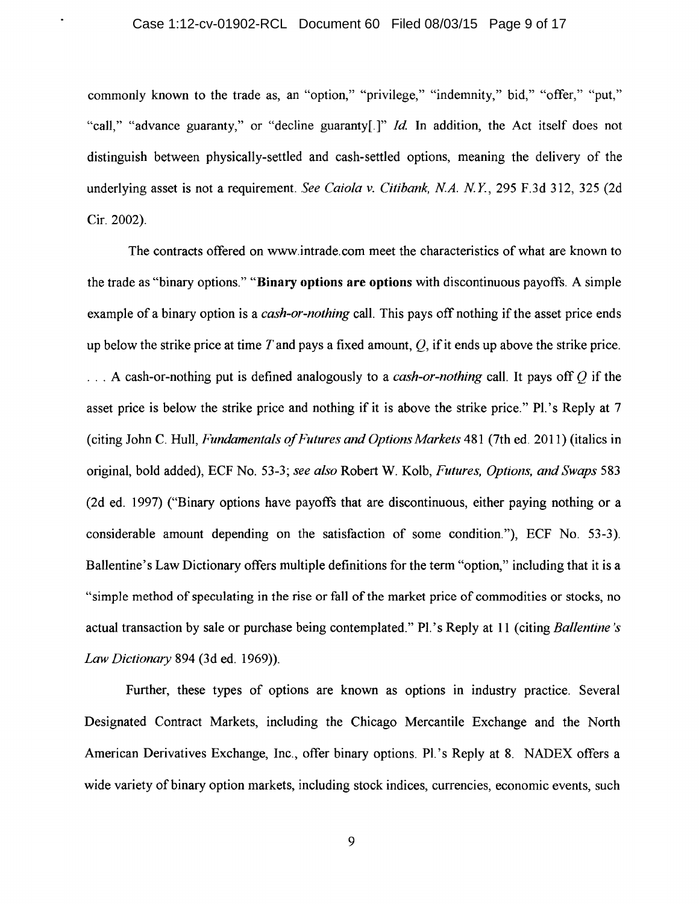### Case 1:12-cv-01902-RCL Document 60 Filed 08/03/15 Page 9 of 17

 $\bullet$ 

commonly known to the trade as, an "option," "privilege," "indemnity," bid," "offer," "put," "call," "advance guaranty," or "decline guaranty[.]" *Id.* In addition, the Act itself does not distinguish between physically-settled and cash-settled options, meaning the delivery of the underlying asset is not a requirement. *See Caiola v. Citibank, N.A. N.Y.*, 295 F.3d 312, 325 (2d) Cir. 2002).

The contracts offered on www.intrade.com meet the characteristics of what are known to the trade as "binary options." "Binary options are options with discontinuous payoffs. A simple example of a binary option is a *cash-or-nothing* call. This pays off nothing if the asset price ends up below the strike price at time *T* and pays a fixed amount, *Q,* if it ends up above the strike price . . . . A cash-or-nothing put is defined analogously to a *cash-or-nothing* call. It pays off *Q* if the asset price is below the strike price and nothing if it is above the strike price." Pl.'s Reply at 7 (citing John C. Hull, *Fundamentals of H1tures and Options Markets* 481 (7th ed. 2011) (italics in original, bold added), ECF No. 53-3; *see also* Robert W. Kolb, *Futures, Options, and Swaps* 583 (2d ed. 1997) ("Binary options have payoffs that are discontinuous, either paying nothing or a considerable amount depending on the satisfaction of some condition."), ECF No. 53-3). Ballentine's Law Dictionary offers multiple definitions for the term "option," including that it is a "simple method of speculating in the rise or fall of the market price of commodities or stocks, no actual transaction by sale or purchase being contemplated." Pl.' s Reply at 11 (citing *Ballentine 's Law Dictionary* 894 (3d ed. 1969)).

Further, these types of options are known as options in industry practice. Several Designated Contract Markets, including the Chicago Mercantile Exchange and the North American Derivatives Exchange, Inc., offer binary options. Pl.'s Reply at 8. NADEX offers a wide variety of binary option markets, including stock indices, currencies, economic events, such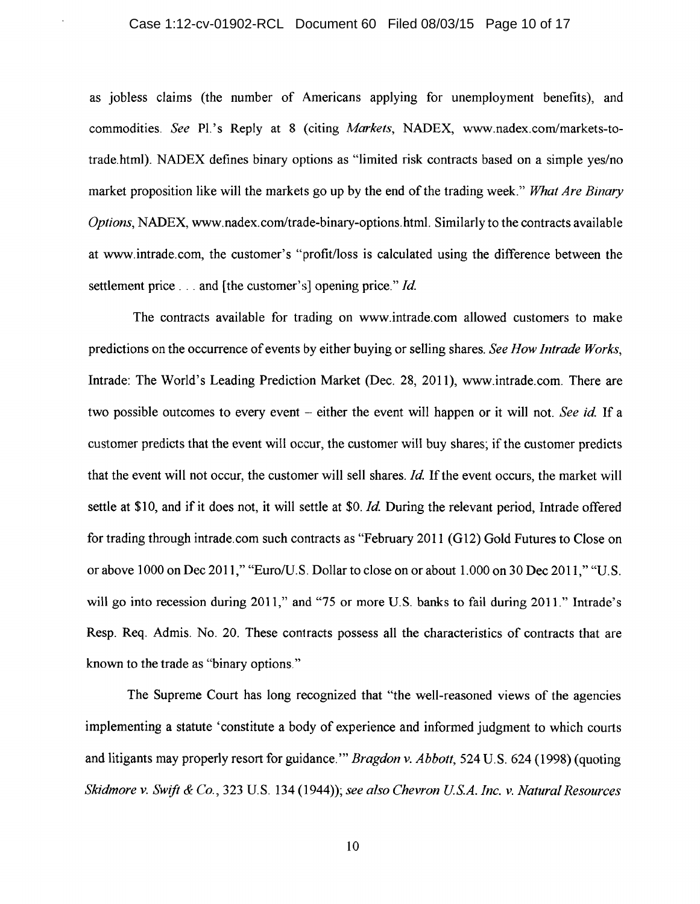### Case 1:12-cv-01902-RCL Document 60 Filed 08/03/15 Page 10 of 17

as jobless claims (the number of Americans applying for unemployment benefits), and commodities. See Pl.'s Reply at 8 (citing *Markets*, NADEX, www.nadex.com/markets-totrade.html). NADEX defines binary options as "limited risk contracts based on a simple yes/no market proposition like will the markets go up by the end of the trading week." *What Are Binary Options,* NADEX, www.nadex.com/trade-binary-options.html. Similarly to the contracts available at www.intrade.com, the customer's "profit/loss is calculated using the difference between the settlement price ... and [the customer's] opening price." *Id.* 

The contracts available for trading on www.intrade.com allowed customers to make predictions on the occurrence of events by either buying or selling shares. *See How lntrade Works,*  Intrade: The World's Leading Prediction Market (Dec. 28, 2011), www.intrade.com. There are two possible outcomes to every event – either the event will happen or it will not. *See id.* If a customer predicts that the event will occur, the customer will buy shares; if the customer predicts that the event will not occur, the customer will sell shares. *Id.* If the event occurs, the market will settle at \$10, and if it does not, it will settle at \$0. *Id.* During the relevant period, Intrade offered for trading through intrade.com such contracts as "February 2011 (G12) Gold Futures to Close on or above 1000 on Dec 2011," "Euro/U.S. Dollar to close on or about 1.000 on 30 Dec 2011," "U.S. will go into recession during 2011," and "75 or more U.S. banks to fail during 2011." Intrade's Resp. Req. Admis. No. 20. These contracts possess all the characteristics of contracts that are known to the trade as "binary options."

The Supreme Court has long recognized that "the well-reasoned views of the agencies implementing a statute 'constitute a body of experience and informed judgment to which courts and litigants may properly resort for guidance."' *Bragdon v. Abbott,* 524 U.S. 624 (1998) (quoting *Skidmore v. Swift & Co.,* 323 U.S. 134 (1944)); *see also Chevron U.S.A. Inc. v. Natural Resources*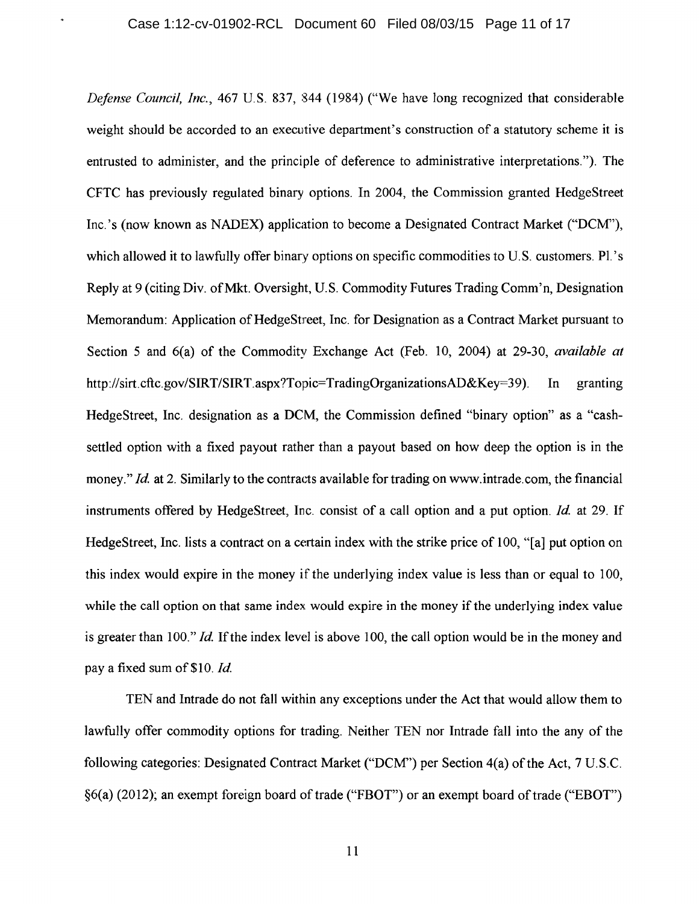٠

*Defense Council, Inc.,* 467 U.S. 837, 844 (1984) ("We have long recognized that considerable weight should be accorded to an executive department's construction of a statutory scheme it is entrusted to administer, and the principle of deference to administrative interpretations."). The CFTC has previously regulated binary options. In 2004, the Commission granted HedgeStreet Inc. 's (now known as NADEX) application to become a Designated Contract Market ("DCM'), which allowed it to lawfully offer binary options on specific commodities to U.S. customers. Pl.'s Reply at 9 (citing Div. ofMkt. Oversight, U.S. Commodity Futures Trading Comm'n, Designation Memorandum: Application of HedgeStreet, Inc. for Designation as a Contract Market pursuant to Section 5 and 6(a) of the Commodity Exchange Act (Feb. 10, 2004) at 29-30, *available at*  http://sirt.cftc.gov/SIRT/SIRT.aspx?Topic=TradingOrganizationsAD&Key=39). In granting HedgeStreet, Inc. designation as a DCM, the Commission defined "binary option" as a "cashsettled option with a fixed payout rather than a payout based on how deep the option is in the money." *Id.* at 2. Similarly to the contracts available for trading on www.intrade.com, the financial instruments offered by HedgeStreet, Inc. consist of a call option and a put option. *Id* at 29. If HedgeStreet, Inc. lists a contract on a certain index with the strike price of 100, "[a] put option on this index would expire in the money if the underlying index value is less than or equal to 100, while the call option on that same index would expire in the money if the underlying index value is greater than 100." *Id.* If the index level is above 100, the call option would be in the money and pay a fixed sum of\$10. *Id* 

TEN and Intrade do not fall within any exceptions under the Act that would allow them to lawfully offer commodity options for trading. Neither TEN nor Intrade fall into the any of the following categories: Designated Contract Market ("DCM') per Section 4(a) of the Act, 7 U.S.C. §6(a) (2012); an exempt foreign board of trade ("FBOT") or an exempt board of trade ("EBOT")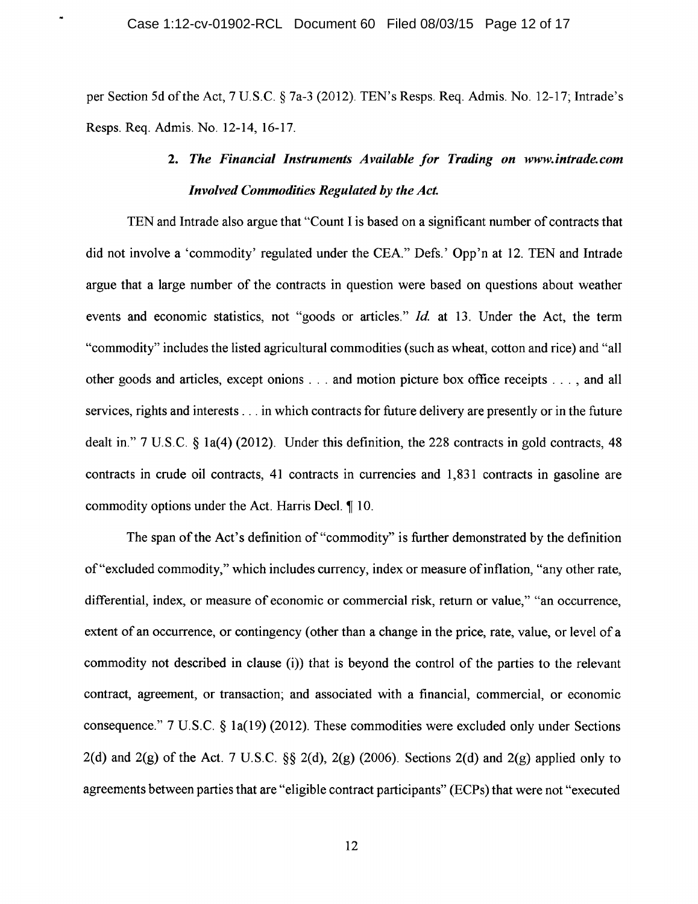per Section 5d of the Act, 7 U.S.C. § 7a-3 (2012). TEN's Resps. Req. Admis. No. 12-17; Intrade's Resps. Req. Admis. No. 12-14, 16-17.

# 2. *The Financial Instruments Available for Trading on www.intrade.com Involved Commodities Regulated by the Act.*

TEN and Intrade also argue that "Count I is based on a significant number of contracts that did not involve a 'commodity' regulated under the CEA." Defs.' Opp'n at 12. TEN and Intrade argue that a large number of the contracts in question were based on questions about weather events and economic statistics, not "goods or articles." *Id.* at 13. Under the Act, the term "commodity" includes the listed agricultural commodities (such as wheat, cotton and rice) and "all other goods and articles, except onions . . . and motion picture box office receipts ... , and all services, rights and interests ... in which contracts for future delivery are presently or in the future dealt in." 7 U.S.C. § la(4) (2012). Under this definition, the 228 contracts in gold contracts, 48 contracts in crude oil contracts, 41 contracts in currencies and 1,831 contracts in gasoline are commodity options under the Act. Harris Decl.  $\parallel$  10.

The span of the Act's definition of "commodity" is further demonstrated by the definition of"excluded commodity," which includes currency, index or measure ofinflation, "any other rate, differential, index, or measure of economic or commercial risk, return or value," "an occurrence, extent of an occurrence, or contingency (other than a change in the price, rate, value, or level of a commodity not described in clause (i)) that is beyond the control of the parties to the relevant contract, agreement, or transaction; and associated with a financial, commercial, or economic consequence." 7 U.S.C. § la(19) (2012). These commodities were excluded only under Sections  $2(d)$  and  $2(g)$  of the Act. 7 U.S.C. §§  $2(d)$ ,  $2(g)$  (2006). Sections  $2(d)$  and  $2(g)$  applied only to agreements between parties that are "eligible contract participants" (ECPs) that were not "executed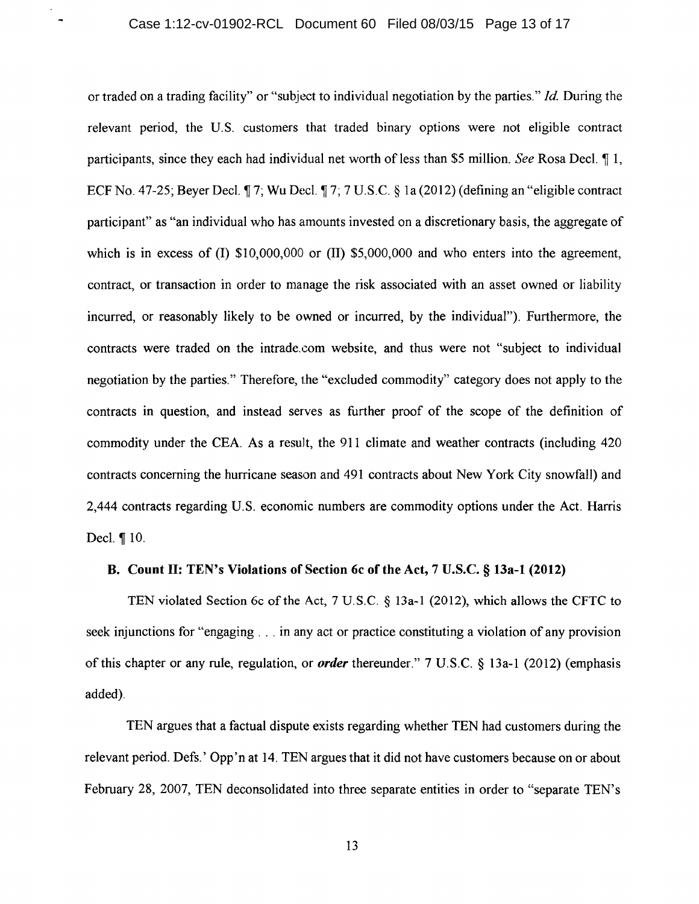$\blacksquare$ 

or traded on a trading facility" or "subject to individual negotiation by the parties." *Id.* During the relevant period, the U.S. customers that traded binary options were not eligible contract participants, since they each had individual net worth of less than \$5 million. *See* Rosa Decl. 1 1, ECF No. 47-25; Beyer Decl.  $\parallel$  7; Wu Decl.  $\parallel$  7; 7 U.S.C. § 1a (2012) (defining an "eligible contract participant" as "an individual who has amounts invested on a discretionary basis, the aggregate of which is in excess of  $(I)$  \$10,000,000 or  $(I)$  \$5,000,000 and who enters into the agreement, contract, or transaction in order to manage the risk associated with an asset owned or liability incurred, or reasonably likely to be owned or incurred, by the individual"). Furthermore, the contracts were traded on the intrade.com website, and thus were not "subject to individual negotiation by the parties." Therefore, the "excluded commodity" category does not apply to the contracts in question, and instead serves as further proof of the scope of the definition of commodity under the CEA. As a result, the 911 climate and weather contracts (including 420 contracts concerning the hurricane season and 491 contracts about New York City snowfall) and 2,444 contracts regarding U.S. economic numbers are commodity options under the Act. Harris Decl.  $\P$  10.

## B. Count II: TEN's Violations of Section 6c of the Act, 7 U.S.C. § 13a-1 (2012)

TEN violated Section 6c of the Act, 7 U.S.C. § 13a-1 (2012), which allows the CFTC to seek injunctions for "engaging ... in any act or practice constituting a violation of any provision of this chapter or any rule, regulation, or *order* thereunder." 7 U.S.C. § 13a-1 (2012) (emphasis added).

TEN argues that a factual dispute exists regarding whether TEN had customers during the relevant period. Defs.' Opp'n at 14. TEN argues that it did not have customers because on or about February 28, 2007, TEN deconsolidated into three separate entities in order to "separate TEN's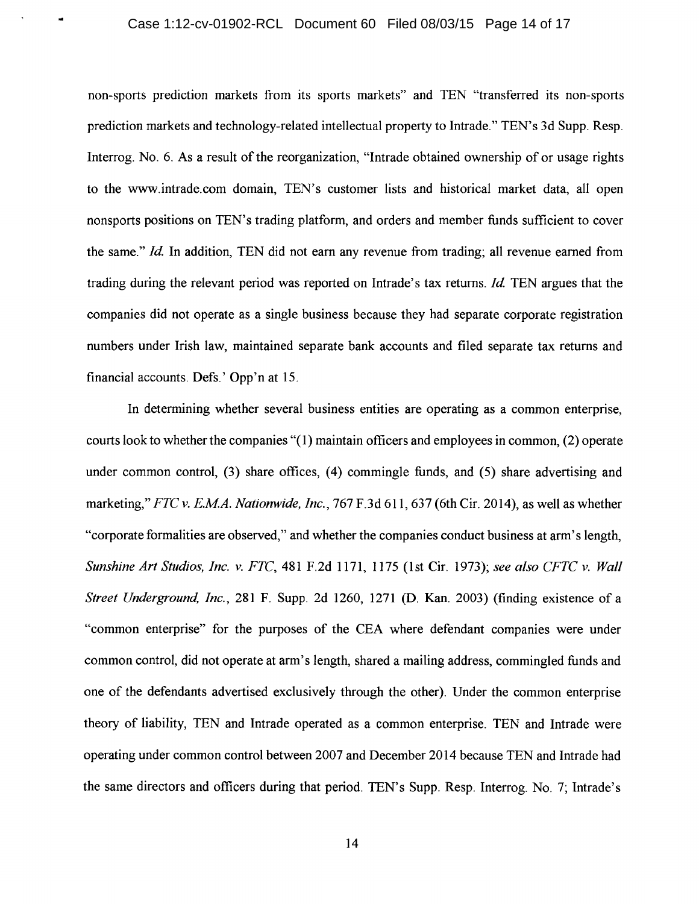non-sports prediction markets from its sports markets" and TEN "transferred its non-sports prediction markets and technology-related intellectual property to Intrade." TEN's 3d Supp. Resp. Interrog. No. 6. As a result of the reorganization, "Intrade obtained ownership of or usage rights to the www.intrade.com domain, TEN's customer lists and historical market data, all open nonsports positions on TEN's trading platform, and orders and member funds sufficient to cover the same." *Id.* In addition, TEN did not earn any revenue from trading; all revenue earned from trading during the relevant period was reported on Intrade' s tax returns. *Id* TEN argues that the companies did not operate as a single business because they had separate corporate registration numbers under Irish law, maintained separate bank accounts and filed separate tax returns and financial accounts. Defs.' Opp'n at 15.

In determining whether several business entities are operating as a common enterprise, courts look to whether the companies "( 1) maintain officers and employees in common, (2) operate under common control, (3) share offices, (4) commingle funds, and (5) share advertising and marketing,'' *FTC v. E.MA. Nationwide, Inc.,* 767 F.3d 611, 637 (6th Cir. 2014), as well as whether "corporate formalities are observed,'' and whether the companies conduct business at arm's length, *Sunshine Art Studios, Inc. v. FTC,* 481F.2d1171, 1175 (1st Cir. 1973); *see also CFTC v. Wall Street Underground, Inc.,* 281 F. Supp. 2d 1260, 1271 (D. Kan. 2003) (finding existence of a "common enterprise" for the purposes of the CEA where defendant companies were under common control, did not operate at arm's length, shared a mailing address, commingled funds and one of the defendants advertised exclusively through the other). Under the common enterprise theory of liability, TEN and Intrade operated as a common enterprise. TEN and Intrade were operating under common control between 2007 and December 2014 because TEN and Intrade had the same directors and officers during that period. TEN's Supp. Resp. Interrog. No. 7; Intrade's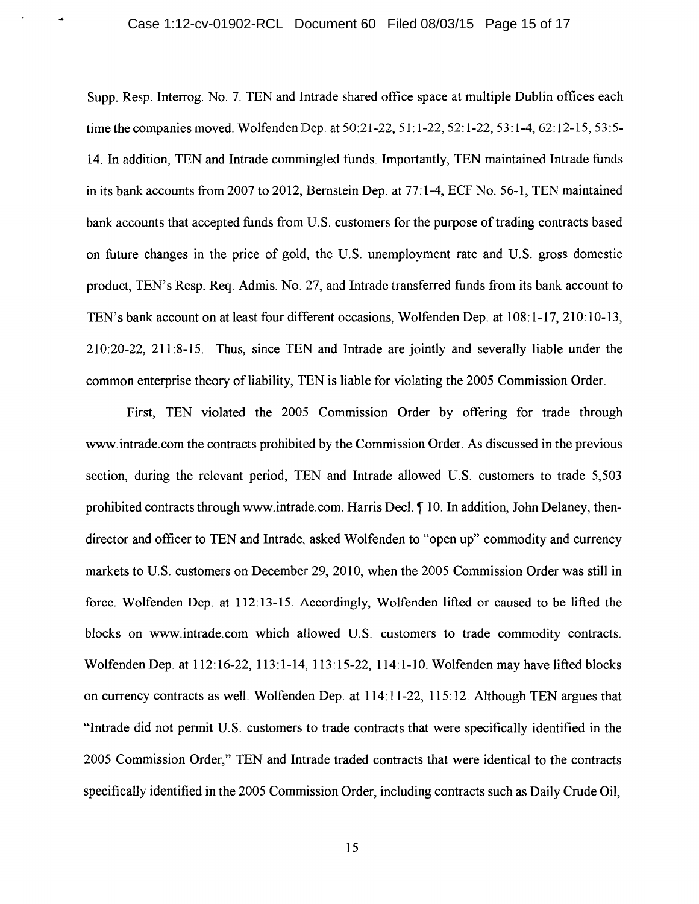Supp. Resp. Interrog. No. 7. TEN and lntrade shared office space at multiple Dublin offices each time the companies moved. Wolfenden Dep. at 50:21-22, 51: 1-22, 52: 1-22, 53: 1-4, 62: 12-15, 53:5- 14. In addition, TEN and Intrade commingled funds. Importantly, TEN maintained Intrade funds in its bank accounts from 2007 to 2012, Bernstein Dep. at 77:1-4, ECF No. 56-1, TEN maintained bank accounts that accepted funds from U.S. customers for the purpose of trading contracts based on future changes in the price of gold, the U.S. unemployment rate and U.S. gross domestic product, TEN's Resp. Req. Admis. No. 27, and Intrade transferred funds from its bank account to TEN's bank account on at least four different occasions, Wolfenden Dep. at 108: 1-17, 210: 10-13, 210:20-22, 211:8-15. Thus, since TEN and Intrade are jointly and severally liable under the common enterprise theory of liability, TEN is liable for violating the 2005 Commission Order.

First, TEN violated the 2005 Commission Order by offering for trade through www.intrade.com the contracts prohibited by the Commission Order. As discussed in the previous section, during the relevant period, TEN and Intrade allowed U.S. customers to trade 5,503 prohibited contracts through www.intrade.com. Harris Decl.  $\P$  10. In addition, John Delaney, thendirector and officer to TEN and Intrade, asked Wolfenden to "open up" commodity and currency markets to U.S. customers on December 29, 2010, when the 2005 Commission Order was still in force. Wolfenden Dep. at 112:13-15. Accordingly, Wolfenden lifted or caused to be lifted the blocks on www.intrade.com which allowed U.S. customers to trade commodity contracts. Wolfenden Dep. at 112: 16-22, 113:1-14, 113:15-22, 114: 1-10. Wolfenden may have lifted blocks on currency contracts as well. Wolfenden Dep. at 114:11-22, 115:12. Although TEN argues that "Intrade did not permit U.S. customers to trade contracts that were specifically identified in the 2005 Commission Order," TEN and Intrade traded contracts that were identical to the contracts specifically identified in the 2005 Commission Order, including contracts such as Daily Crude Oil,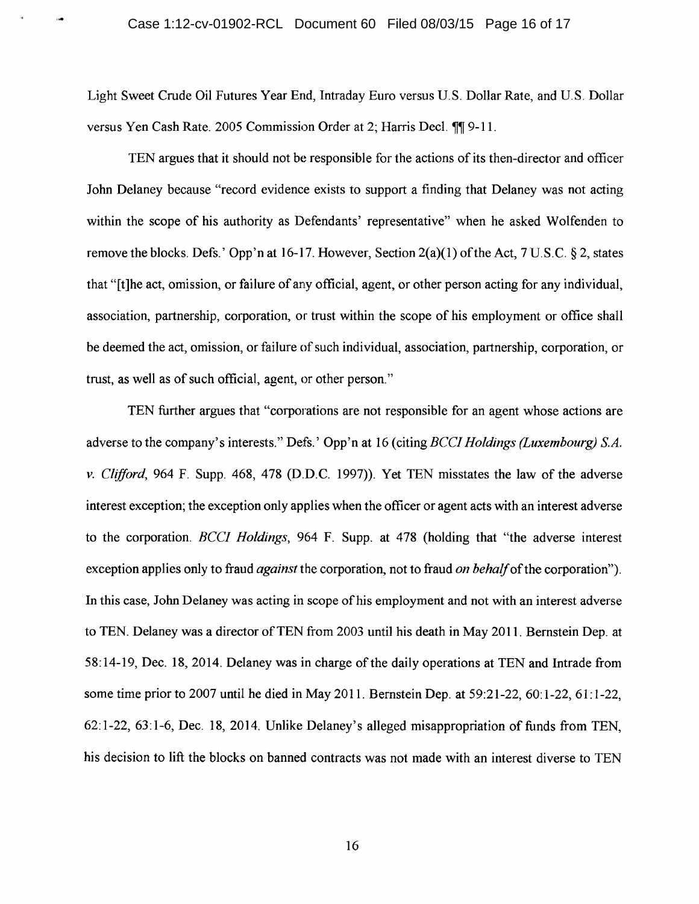Light Sweet Crude Oil Futures Year End, Intraday Euro versus U.S. Dollar Rate, and U.S. Dollar versus Yen Cash Rate. 2005 Commission Order at 2; Harris Decl.  $\P\P$  9-11.

TEN argues that it should not be responsible for the actions of its then-director and officer John Delaney because "record evidence exists to support a finding that Delaney was not acting within the scope of his authority as Defendants' representative" when he asked Wolfenden to remove the blocks. Defs.' Opp'n at 16-17. However, Section 2(a)(l) of the Act, 7 U.S.C. § 2, states that "[t]he act, omission, or failure of any official, agent, or other person acting for any individual, association, partnership, corporation, or trust within the scope of his employment or office shall be deemed the act, omission, or failure of such individual, association, partnership, corporation, or trust, as well as of such official, agent, or other person."

TEN further argues that "corporations are not responsible for an agent whose actions are adverse to the company's interests." Defs.' Opp'n at 16 (citing *BCCJ Holdings (Luxembourg) S.A. v. Clifford,* 964 F. Supp. 468, 478 (D.D.C. 1997)). Yet TEN misstates the law of the adverse interest exception; the exception only applies when the officer or agent acts with an interest adverse to the corporation. *BCCI Holdings,* 964 F. Supp. at 478 (holding that "the adverse interest exception applies only to fraud *against* the corporation, not to fraud *on behalf* of the corporation"). In this case, John Delaney was acting in scope of his employment and not with an interest adverse to TEN. Delaney was a director of TEN from 2003 until his death in May 2011. Bernstein Dep. at 58:14-19, Dec. 18, 2014. Delaney was in charge of the daily operations at TEN and Intrade from some time prior to 2007 until he died in May 2011. Bernstein Dep. at 59:21-22, 60: 1-22, 61: 1-22, 62: 1-22, 63: 1-6, Dec. 18, 2014. Unlike Delaney's alleged misappropriation of funds from TEN, his decision to lift the blocks on banned contracts was not made with an interest diverse to TEN